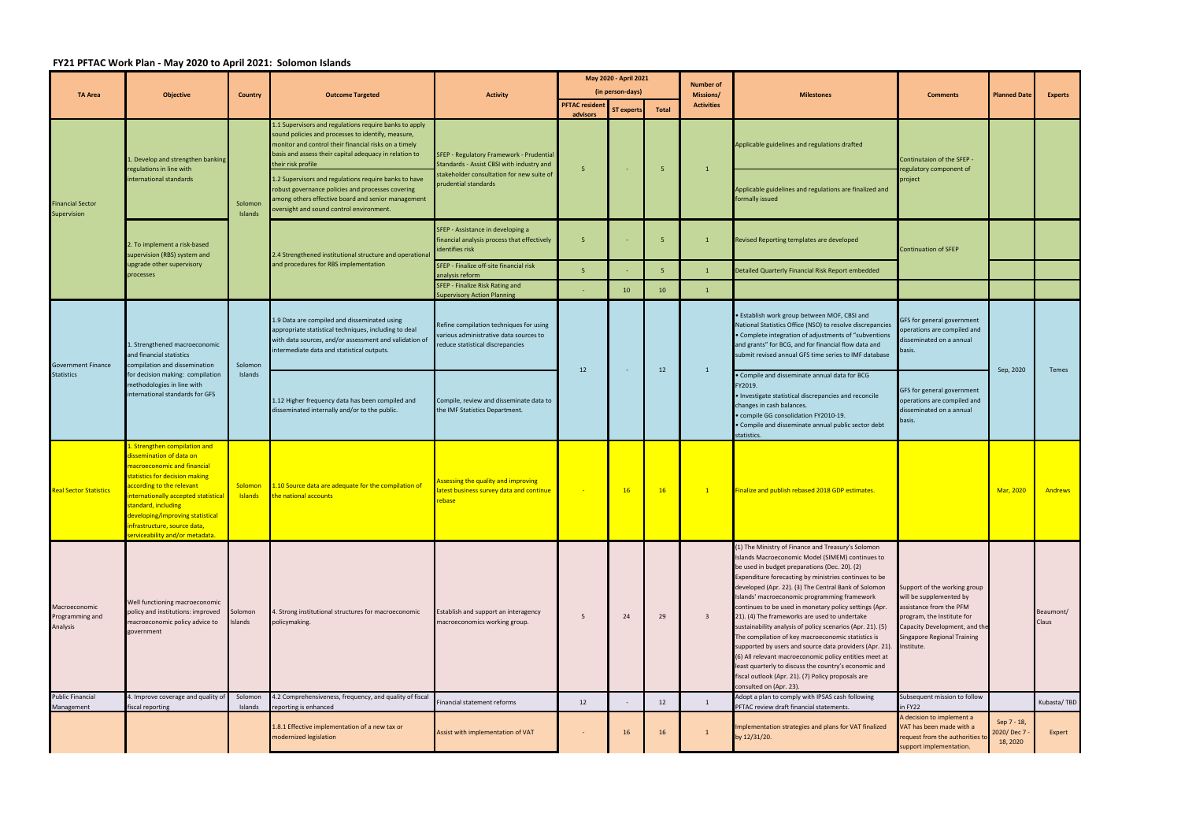## **FY21 PFTAC Work Plan ‐ May 2020 to April 2021: Solomon Islands**

| <b>TA Area</b>                                 | <b>Objective</b>                                                                                                                                                                                                                                                                                                              | <b>Country</b>            | <b>Outcome Targeted</b>                                                                                                                                                                                                                               | <b>Activity</b>                                                                                                       | May 2020 - April 2021                     |                   |              | <b>Number of</b>               |                                                                                                                                                                                                                                                                                                                                                                                                                                                                                                                                                                                                                                                                                                                                                                                                                        |                                                                                                                                                                                                      |                                       |                    |
|------------------------------------------------|-------------------------------------------------------------------------------------------------------------------------------------------------------------------------------------------------------------------------------------------------------------------------------------------------------------------------------|---------------------------|-------------------------------------------------------------------------------------------------------------------------------------------------------------------------------------------------------------------------------------------------------|-----------------------------------------------------------------------------------------------------------------------|-------------------------------------------|-------------------|--------------|--------------------------------|------------------------------------------------------------------------------------------------------------------------------------------------------------------------------------------------------------------------------------------------------------------------------------------------------------------------------------------------------------------------------------------------------------------------------------------------------------------------------------------------------------------------------------------------------------------------------------------------------------------------------------------------------------------------------------------------------------------------------------------------------------------------------------------------------------------------|------------------------------------------------------------------------------------------------------------------------------------------------------------------------------------------------------|---------------------------------------|--------------------|
|                                                |                                                                                                                                                                                                                                                                                                                               |                           |                                                                                                                                                                                                                                                       |                                                                                                                       | (in person-days)<br><b>PFTAC resident</b> |                   |              | Missions/<br><b>Activities</b> | <b>Milestones</b>                                                                                                                                                                                                                                                                                                                                                                                                                                                                                                                                                                                                                                                                                                                                                                                                      | <b>Comments</b>                                                                                                                                                                                      | <b>Planned Date</b>                   | <b>Experts</b>     |
|                                                |                                                                                                                                                                                                                                                                                                                               |                           |                                                                                                                                                                                                                                                       |                                                                                                                       | advisors                                  | <b>ST experts</b> | <b>Total</b> |                                |                                                                                                                                                                                                                                                                                                                                                                                                                                                                                                                                                                                                                                                                                                                                                                                                                        |                                                                                                                                                                                                      |                                       |                    |
| <b>Financial Sector</b><br>Supervision         | . Develop and strengthen banking<br>regulations in line with<br>international standards                                                                                                                                                                                                                                       | Solomon<br>Islands        | 1.1 Supervisors and regulations require banks to apply<br>sound policies and processes to identify, measure,<br>monitor and control their financial risks on a timely<br>basis and assess their capital adequacy in relation to<br>their risk profile | SFEP - Regulatory Framework - Prudential<br>Standards - Assist CBSI with industry and                                 | -5                                        |                   | -5           | -1                             | Applicable guidelines and regulations drafted                                                                                                                                                                                                                                                                                                                                                                                                                                                                                                                                                                                                                                                                                                                                                                          | Continutaion of the SFEP -<br>regulatory component of<br>project                                                                                                                                     |                                       |                    |
|                                                |                                                                                                                                                                                                                                                                                                                               |                           | 1.2 Supervisors and regulations require banks to have<br>robust governance policies and processes covering<br>among others effective board and senior management<br>versight and sound control environment.                                           | stakeholder consultation for new suite of<br>prudential standards                                                     |                                           |                   |              |                                | Applicable guidelines and regulations are finalized and<br>formally issued                                                                                                                                                                                                                                                                                                                                                                                                                                                                                                                                                                                                                                                                                                                                             |                                                                                                                                                                                                      |                                       |                    |
|                                                | 2. To implement a risk-based<br>supervision (RBS) system and<br>upgrade other supervisory<br>processes                                                                                                                                                                                                                        |                           | 2.4 Strengthened institutional structure and operationa<br>and procedures for RBS implementation                                                                                                                                                      | SFEP - Assistance in developing a<br>financial analysis process that effectively<br>identifies risk                   | -5                                        |                   | -5           |                                | Revised Reporting templates are developed                                                                                                                                                                                                                                                                                                                                                                                                                                                                                                                                                                                                                                                                                                                                                                              | <b>Continuation of SFEP</b>                                                                                                                                                                          |                                       |                    |
|                                                |                                                                                                                                                                                                                                                                                                                               |                           |                                                                                                                                                                                                                                                       | SFEP - Finalize off-site financial risk<br>analysis reform                                                            | 5 <sup>2</sup>                            |                   | -5           | $\mathbf{1}$                   | Detailed Quarterly Financial Risk Report embedded                                                                                                                                                                                                                                                                                                                                                                                                                                                                                                                                                                                                                                                                                                                                                                      |                                                                                                                                                                                                      |                                       |                    |
|                                                |                                                                                                                                                                                                                                                                                                                               |                           |                                                                                                                                                                                                                                                       | SFEP - Finalize Risk Rating and<br><b>Supervisory Action Planning</b>                                                 |                                           | 10                | 10           | $\mathbf{1}$                   |                                                                                                                                                                                                                                                                                                                                                                                                                                                                                                                                                                                                                                                                                                                                                                                                                        |                                                                                                                                                                                                      |                                       |                    |
| <b>Government Finance</b><br><b>Statistics</b> | 1. Strengthened macroeconomic<br>and financial statistics<br>compilation and dissemination<br>for decision making: compilation<br>methodologies in line with<br>international standards for GFS                                                                                                                               | Solomon<br>Islands        | 1.9 Data are compiled and disseminated using<br>appropriate statistical techniques, including to deal<br>with data sources, and/or assessment and validation of<br>intermediate data and statistical outputs.                                         | Refine compilation techniques for using<br>various administrative data sources to<br>reduce statistical discrepancies | 12                                        |                   | 12           | $\mathbf{1}$                   | . Establish work group between MOF, CBSI and<br>National Statistics Office (NSO) to resolve discrepancies<br>• Complete integration of adjustments of "subventions<br>and grants" for BCG, and for financial flow data and<br>submit revised annual GFS time series to IMF database                                                                                                                                                                                                                                                                                                                                                                                                                                                                                                                                    | GFS for general government<br>operations are compiled and<br>disseminated on a annual<br>basis.<br>GFS for general government<br>operations are compiled and<br>disseminated on a annual<br>basis.   | Sep, 2020                             | Temes              |
|                                                |                                                                                                                                                                                                                                                                                                                               |                           | 1.12 Higher frequency data has been compiled and<br>disseminated internally and/or to the public.                                                                                                                                                     | Compile, review and disseminate data to<br>the IMF Statistics Department.                                             |                                           |                   |              |                                | • Compile and disseminate annual data for BCG<br>FY2019.<br>Investigate statistical discrepancies and reconcile<br>changes in cash balances.<br>· compile GG consolidation FY2010-19.<br>Compile and disseminate annual public sector debt<br>statistics.                                                                                                                                                                                                                                                                                                                                                                                                                                                                                                                                                              |                                                                                                                                                                                                      |                                       |                    |
| <b>Real Sector Statistics</b>                  | 1. Strengthen compilation and<br>dissemination of data on<br>macroeconomic and financial<br>statistics for decision making<br>according to the relevant<br>internationally accepted statistical<br>standard, including<br>developing/improving statistical<br>infrastructure, source data,<br>serviceability and/or metadata. | Solomon<br><b>Islands</b> | 1.10 Source data are adequate for the compilation of<br>the national accounts                                                                                                                                                                         | Assessing the quality and improving<br>atest business survey data and continue<br>rebase                              |                                           | 16                | 16           | $\mathbf{1}$                   | Finalize and publish rebased 2018 GDP estimates.                                                                                                                                                                                                                                                                                                                                                                                                                                                                                                                                                                                                                                                                                                                                                                       |                                                                                                                                                                                                      | Mar, 2020                             | <b>Andrews</b>     |
| Macroeconomic<br>Programming and<br>Analysis   | Well functioning macroeconomic<br>policy and institutions: improved<br>macroeconomic policy advice to<br>government                                                                                                                                                                                                           | Solomon<br>Islands        | 4. Strong institutional structures for macroeconomic<br>policymaking.                                                                                                                                                                                 | Establish and support an interagency<br>macroeconomics working group.                                                 | 5                                         | 24                | 29           | $\overline{\mathbf{3}}$        | (1) The Ministry of Finance and Treasury's Solomon<br>Islands Macroeconomic Model (SIMEM) continues to<br>be used in budget preparations (Dec. 20). (2)<br>Expenditure forecasting by ministries continues to be<br>developed (Apr. 22). (3) The Central Bank of Solomon<br>Islands' macroeconomic programming framework<br>continues to be used in monetary policy settings (Apr.<br>21). (4) The frameworks are used to undertake<br>sustainability analysis of policy scenarios (Apr. 21). (5)<br>The compilation of key macroeconomic statistics is<br>supported by users and source data providers (Apr. 21).<br>(6) All relevant macroeconomic policy entities meet at<br>least quarterly to discuss the country's economic and<br>fiscal outlook (Apr. 21). (7) Policy proposals are<br>consulted on (Apr. 23). | Support of the working group<br>will be supplemented by<br>assistance from the PFM<br>program, the Institute for<br>Capacity Development, and the<br><b>Singapore Regional Training</b><br>nstitute. |                                       | Beaumont/<br>Claus |
| <b>Public Financial</b><br>Management          | 4. Improve coverage and quality of<br>fiscal reporting                                                                                                                                                                                                                                                                        | Solomon<br>Islands        | 4.2 Comprehensiveness, frequency, and quality of fiscal<br>reporting is enhanced                                                                                                                                                                      | Financial statement reforms                                                                                           | 12                                        |                   | 12           | 1                              | Adopt a plan to comply with IPSAS cash following<br>PFTAC review draft financial statements.                                                                                                                                                                                                                                                                                                                                                                                                                                                                                                                                                                                                                                                                                                                           | Subsequent mission to follow<br>in FY22                                                                                                                                                              |                                       | Kubasta/TBD        |
|                                                |                                                                                                                                                                                                                                                                                                                               |                           | 1.8.1 Effective implementation of a new tax or<br>modernized legislation                                                                                                                                                                              | Assist with implementation of VAT                                                                                     |                                           | 16                | 16           | $\mathbf{1}$                   | Implementation strategies and plans for VAT finalized<br>by 12/31/20.                                                                                                                                                                                                                                                                                                                                                                                                                                                                                                                                                                                                                                                                                                                                                  | A decision to implement a<br>/AT has been made with a<br>equest from the authorities to<br>support implementation.                                                                                   | Sep 7 - 18,<br>2020/Dec 7<br>18, 2020 | Expert             |